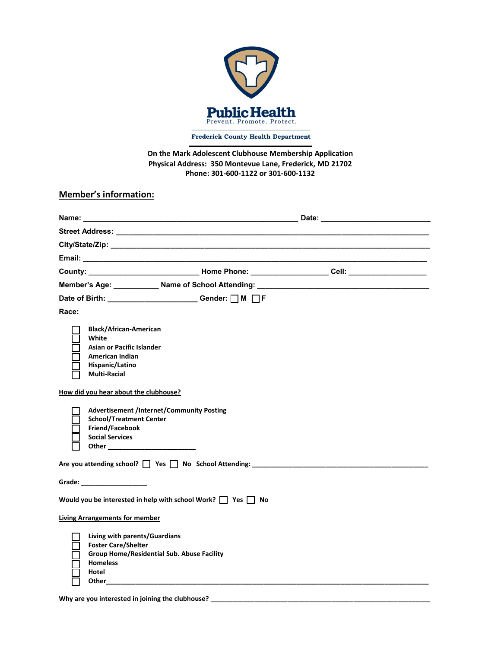

**Frederick County Health Department** 

**On the Mark Adolescent Clubhouse Membership Application Physical Address: 350 Montevue Lane, Frederick, MD 21702 Phone: 301-600-1122 or 301-600-1132**

#### **Member's information:**

| County: _______________________________Home Phone: ____________________Cell: ______________________                                                                                                                            |  |
|--------------------------------------------------------------------------------------------------------------------------------------------------------------------------------------------------------------------------------|--|
| Member's Age: ___________ Name of School Attending: ____________________________                                                                                                                                               |  |
| Date of Birth: ______________________Gender: □ M □ F                                                                                                                                                                           |  |
| Race:                                                                                                                                                                                                                          |  |
| <b>Black/African-American</b><br>White<br>Asian or Pacific Islander<br>American Indian<br>Hispanic/Latino<br><b>Multi-Racial</b>                                                                                               |  |
| How did you hear about the clubhouse?                                                                                                                                                                                          |  |
| <b>Advertisement /Internet/Community Posting</b><br><b>School/Treatment Center</b><br>Friend/Facebook<br><b>Social Services</b>                                                                                                |  |
|                                                                                                                                                                                                                                |  |
| Grade: The Contract of the Contract of the Contract of the Contract of the Contract of the Contract of the Contract of the Contract of the Contract of the Contract of the Contract of the Contract of the Contract of the Con |  |
| Would you be interested in help with school Work? $\Box$ Yes $\Box$ No                                                                                                                                                         |  |
| <b>Living Arrangements for member</b>                                                                                                                                                                                          |  |
| Living with parents/Guardians<br><b>Foster Care/Shelter</b><br>Group Home/Residential Sub. Abuse Facility<br><b>Homeless</b><br>Hotel                                                                                          |  |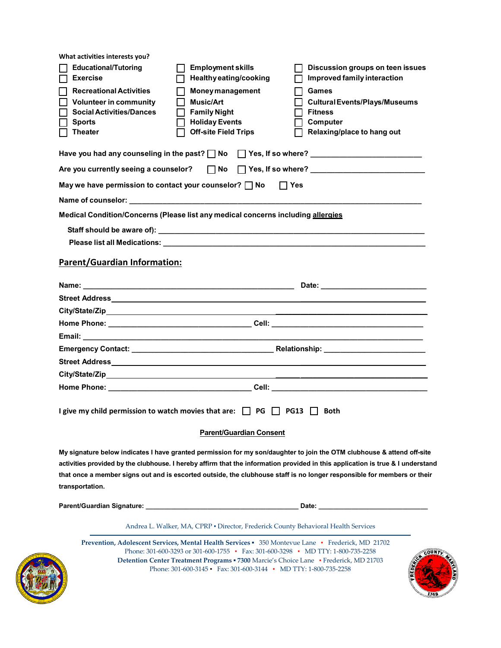| What activities interests you?                                                         |                                                                                       |                                                                                                                                                                                                                                                                                                                                                                                     |
|----------------------------------------------------------------------------------------|---------------------------------------------------------------------------------------|-------------------------------------------------------------------------------------------------------------------------------------------------------------------------------------------------------------------------------------------------------------------------------------------------------------------------------------------------------------------------------------|
| <b>Educational/Tutoring</b>                                                            | <b>Employment skills</b>                                                              | Discussion groups on teen issues                                                                                                                                                                                                                                                                                                                                                    |
| <b>Exercise</b>                                                                        | Healthy eating/cooking                                                                | Improved family interaction                                                                                                                                                                                                                                                                                                                                                         |
| <b>Recreational Activities</b><br><b>Volunteer in community</b>                        | <b>Money management</b><br>П<br><b>Music/Art</b>                                      | Games<br><b>Cultural Events/Plays/Museums</b>                                                                                                                                                                                                                                                                                                                                       |
| <b>Social Activities/Dances</b>                                                        | П<br><b>Family Night</b>                                                              | <b>Fitness</b>                                                                                                                                                                                                                                                                                                                                                                      |
| <b>Sports</b>                                                                          | <b>Holiday Events</b><br>LΙ                                                           | Computer                                                                                                                                                                                                                                                                                                                                                                            |
| <b>Theater</b>                                                                         | <b>Off-site Field Trips</b>                                                           | Relaxing/place to hang out                                                                                                                                                                                                                                                                                                                                                          |
|                                                                                        |                                                                                       |                                                                                                                                                                                                                                                                                                                                                                                     |
|                                                                                        |                                                                                       |                                                                                                                                                                                                                                                                                                                                                                                     |
| May we have permission to contact your counselor? $\Box$ No                            |                                                                                       | $\Box$ Yes                                                                                                                                                                                                                                                                                                                                                                          |
|                                                                                        |                                                                                       |                                                                                                                                                                                                                                                                                                                                                                                     |
| Medical Condition/Concerns (Please list any medical concerns including allergies       |                                                                                       |                                                                                                                                                                                                                                                                                                                                                                                     |
|                                                                                        |                                                                                       |                                                                                                                                                                                                                                                                                                                                                                                     |
|                                                                                        |                                                                                       | Please list all Medications: <b>All Accords and Accords</b> and Accords and Accords and Accords and Accords and Accord                                                                                                                                                                                                                                                              |
| <b>Parent/Guardian Information:</b>                                                    |                                                                                       |                                                                                                                                                                                                                                                                                                                                                                                     |
|                                                                                        |                                                                                       |                                                                                                                                                                                                                                                                                                                                                                                     |
|                                                                                        |                                                                                       |                                                                                                                                                                                                                                                                                                                                                                                     |
|                                                                                        |                                                                                       |                                                                                                                                                                                                                                                                                                                                                                                     |
|                                                                                        |                                                                                       |                                                                                                                                                                                                                                                                                                                                                                                     |
|                                                                                        |                                                                                       | Home Phone: __________________________________Cell: _____________________________                                                                                                                                                                                                                                                                                                   |
|                                                                                        |                                                                                       |                                                                                                                                                                                                                                                                                                                                                                                     |
|                                                                                        |                                                                                       |                                                                                                                                                                                                                                                                                                                                                                                     |
|                                                                                        |                                                                                       |                                                                                                                                                                                                                                                                                                                                                                                     |
|                                                                                        |                                                                                       | City/State/Zip_error and the control of the control of the control of the control of the control of the control of the control of the control of the control of the control of the control of the control of the control of th                                                                                                                                                      |
|                                                                                        |                                                                                       | Home Phone: __________________________________Cell: _____________________________                                                                                                                                                                                                                                                                                                   |
| I give my child permission to watch movies that are: $\Box$ PG $\Box$ PG13 $\Box$ Both | <b>Parent/Guardian Consent</b>                                                        |                                                                                                                                                                                                                                                                                                                                                                                     |
|                                                                                        |                                                                                       |                                                                                                                                                                                                                                                                                                                                                                                     |
| transportation.                                                                        |                                                                                       | My signature below indicates I have granted permission for my son/daughter to join the OTM clubhouse & attend off-site<br>activities provided by the clubhouse. I hereby affirm that the information provided in this application is true & I understand<br>that once a member signs out and is escorted outside, the clubhouse staff is no longer responsible for members or their |
|                                                                                        |                                                                                       |                                                                                                                                                                                                                                                                                                                                                                                     |
|                                                                                        | Andrea L. Walker, MA, CPRP · Director, Frederick County Behavioral Health Services    |                                                                                                                                                                                                                                                                                                                                                                                     |
|                                                                                        |                                                                                       |                                                                                                                                                                                                                                                                                                                                                                                     |
|                                                                                        |                                                                                       |                                                                                                                                                                                                                                                                                                                                                                                     |
|                                                                                        | Phone: 301-600-3293 or 301-600-1755 • Fax: 301-600-3298 • MD TTY: 1-800-735-2258      | Prevention, Adolescent Services, Mental Health Services • 350 Montevue Lane • Frederick, MD 21702                                                                                                                                                                                                                                                                                   |
|                                                                                        | Detention Center Treatment Programs = 7300 Marcie's Choice Lane · Frederick, MD 21703 | COUN                                                                                                                                                                                                                                                                                                                                                                                |
|                                                                                        | Phone: 301-600-3145 • Fax: 301-600-3144 • MD TTY: 1-800-735-2258                      |                                                                                                                                                                                                                                                                                                                                                                                     |

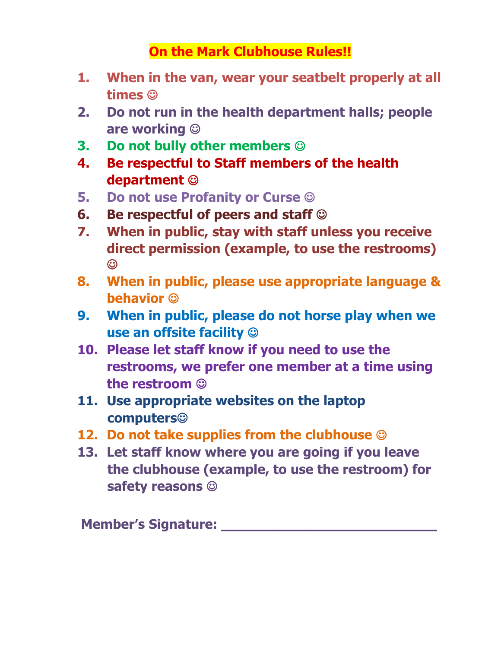### **On the Mark Clubhouse Rules!!**

- **1. When in the van, wear your seatbelt properly at all times**
- **2. Do not run in the health department halls; people are working**
- **3. Do not bully other members**
- **4. Be respectful to Staff members of the health department**
- **5. Do not use Profanity or Curse**
- **6. Be respectful of peers and staff**
- **7. When in public, stay with staff unless you receive direct permission (example, to use the restrooms)**   $\odot$
- **8. When in public, please use appropriate language & behavior**
- **9. When in public, please do not horse play when we use an offsite facility**
- **10. Please let staff know if you need to use the restrooms, we prefer one member at a time using the restroom**
- **11. Use appropriate websites on the laptop computers**
- **12. Do not take supplies from the clubhouse**
- **13. Let staff know where you are going if you leave the clubhouse (example, to use the restroom) for safety reasons**

**Member's Signature: Member's Signature: Member's**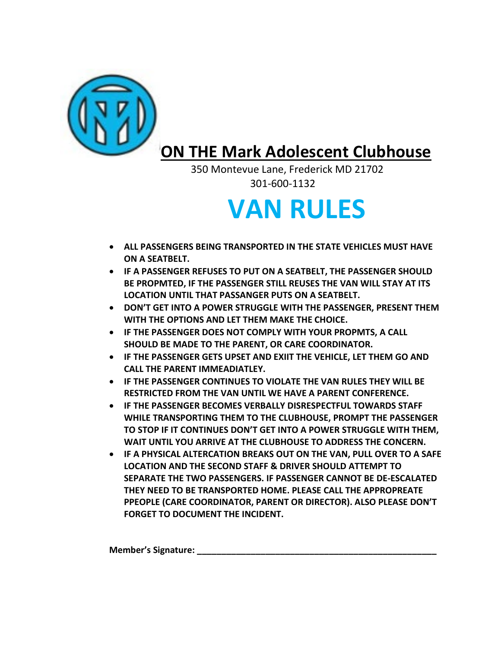

## **ON THE Mark Adolescent Clubhouse**

 350 Montevue Lane, Frederick MD 21702 301-600-1132

# **VAN RULES**

- **ALL PASSENGERS BEING TRANSPORTED IN THE STATE VEHICLES MUST HAVE ON A SEATBELT.**
- **IF A PASSENGER REFUSES TO PUT ON A SEATBELT, THE PASSENGER SHOULD BE PROPMTED, IF THE PASSENGER STILL REUSES THE VAN WILL STAY AT ITS LOCATION UNTIL THAT PASSANGER PUTS ON A SEATBELT.**
- **DON'T GET INTO A POWER STRUGGLE WITH THE PASSENGER, PRESENT THEM WITH THE OPTIONS AND LET THEM MAKE THE CHOICE.**
- **IF THE PASSENGER DOES NOT COMPLY WITH YOUR PROPMTS, A CALL SHOULD BE MADE TO THE PARENT, OR CARE COORDINATOR.**
- **IF THE PASSENGER GETS UPSET AND EXIIT THE VEHICLE, LET THEM GO AND CALL THE PARENT IMMEADIATLEY.**
- **IF THE PASSENGER CONTINUES TO VIOLATE THE VAN RULES THEY WILL BE RESTRICTED FROM THE VAN UNTIL WE HAVE A PARENT CONFERENCE.**
- **IF THE PASSENGER BECOMES VERBALLY DISRESPECTFUL TOWARDS STAFF WHILE TRANSPORTING THEM TO THE CLUBHOUSE, PROMPT THE PASSENGER TO STOP IF IT CONTINUES DON'T GET INTO A POWER STRUGGLE WITH THEM, WAIT UNTIL YOU ARRIVE AT THE CLUBHOUSE TO ADDRESS THE CONCERN.**
- **IF A PHYSICAL ALTERCATION BREAKS OUT ON THE VAN, PULL OVER TO A SAFE LOCATION AND THE SECOND STAFF & DRIVER SHOULD ATTEMPT TO SEPARATE THE TWO PASSENGERS. IF PASSENGER CANNOT BE DE-ESCALATED THEY NEED TO BE TRANSPORTED HOME. PLEASE CALL THE APPROPREATE PPEOPLE (CARE COORDINATOR, PARENT OR DIRECTOR). ALSO PLEASE DON'T FORGET TO DOCUMENT THE INCIDENT.**

**Member's Signature: \_\_\_\_\_\_\_\_\_\_\_\_\_\_\_\_\_\_\_\_\_\_\_\_\_\_\_\_\_\_\_\_\_\_\_\_\_\_\_\_\_\_\_\_\_\_\_\_\_**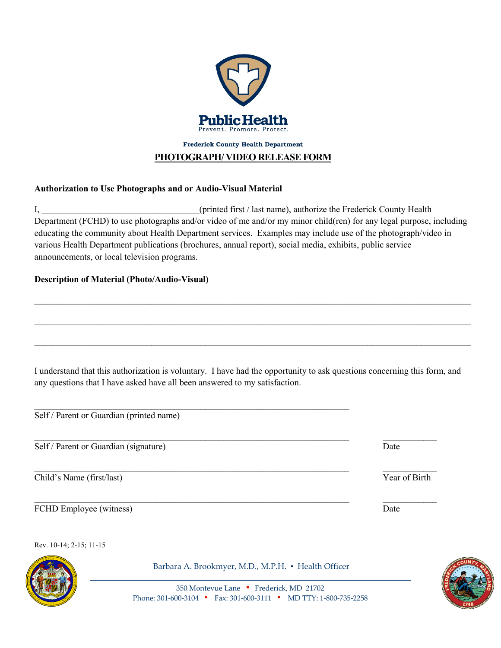

#### **PHOTOGRAPH/ VIDEO RELEASE FORM**

#### **Authorization to Use Photographs and or Audio-Visual Material**

I, the county of the printed first / last name), authorize the Frederick County Health Department (FCHD) to use photographs and/or video of me and/or my minor child(ren) for any legal purpose, including educating the community about Health Department services. Examples may include use of the photograph/video in various Health Department publications (brochures, annual report), social media, exhibits, public service announcements, or local television programs.

 $\_$ 

 $\mathcal{L}_\mathcal{L} = \mathcal{L}_\mathcal{L} = \mathcal{L}_\mathcal{L} = \mathcal{L}_\mathcal{L} = \mathcal{L}_\mathcal{L} = \mathcal{L}_\mathcal{L} = \mathcal{L}_\mathcal{L} = \mathcal{L}_\mathcal{L} = \mathcal{L}_\mathcal{L} = \mathcal{L}_\mathcal{L} = \mathcal{L}_\mathcal{L} = \mathcal{L}_\mathcal{L} = \mathcal{L}_\mathcal{L} = \mathcal{L}_\mathcal{L} = \mathcal{L}_\mathcal{L} = \mathcal{L}_\mathcal{L} = \mathcal{L}_\mathcal{L}$ 

 $\mathcal{L}_\text{max}$  and  $\mathcal{L}_\text{max}$  and  $\mathcal{L}_\text{max}$  and  $\mathcal{L}_\text{max}$  and  $\mathcal{L}_\text{max}$  and  $\mathcal{L}_\text{max}$ 

#### **Description of Material (Photo/Audio-Visual)**

I understand that this authorization is voluntary. I have had the opportunity to ask questions concerning this form, and any questions that I have asked have all been answered to my satisfaction.

 $\mathcal{L}_\text{max}$  , and the contract of the contract of the contract of the contract of the contract of the contract of

Self / Parent or Guardian (printed name)

Self / Parent or Guardian (signature) Date

Thild's Name (first/last) Year of Birth

FCHD Employee (witness) Date

Rev. 10-14; 2-15; 11-15



Barbara A. Brookmyer, M.D., M.P.H. · Health Officer

 $\mathcal{L}_\text{max}$  , and the contribution of the contribution of the contribution of the contribution of the contribution of the contribution of the contribution of the contribution of the contribution of the contribution of t

350 Montevue Lane ▪ Frederick, MD 21702 Phone: 301-600-3104 • Fax: 301-600-3111 • MD TTY: 1-800-735-2258

 $\mathcal{L}_\text{max}$  , and the contribution of the contribution of the contribution of the contribution of the contribution of the contribution of the contribution of the contribution of the contribution of the contribution of t

 $\mathcal{L}_\text{max}$  , and the contribution of the contribution of the contribution of the contribution of the contribution of the contribution of the contribution of the contribution of the contribution of the contribution of t